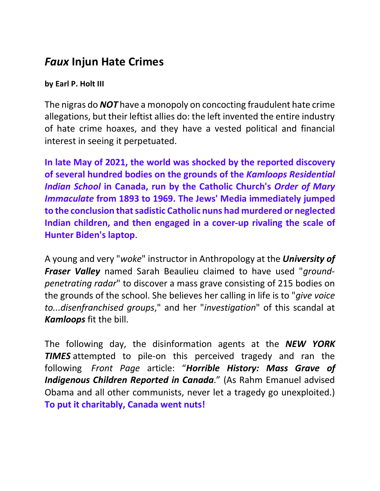## *Faux* **Injun Hate Crimes**

## **by Earl P. Holt III**

The nigras do *NOT* have a monopoly on concocting fraudulent hate crime allegations, but their leftist allies do: the left invented the entire industry of hate crime hoaxes, and they have a vested political and financial interest in seeing it perpetuated.

**In late May of 2021, the world was shocked by the reported discovery of several hundred bodies on the grounds of the** *Kamloops Residential Indian School* **in Canada, run by the Catholic Church's** *Order of Mary Immaculate* **from 1893 to 1969. The Jews' Media immediately jumped to the conclusion that sadistic Catholic nuns had murdered or neglected Indian children, and then engaged in a cover-up rivaling the scale of Hunter Biden's laptop**.

A young and very "*woke*" instructor in Anthropology at the *University of Fraser Valley* named Sarah Beaulieu claimed to have used "*groundpenetrating radar*" to discover a mass grave consisting of 215 bodies on the grounds of the school. She believes her calling in life is to "*give voice to...disenfranchised groups*," and her "*investigation*" of this scandal at *Kamloops* fit the bill.

The following day, the disinformation agents at the *NEW YORK TIMES* attempted to pile-on this perceived tragedy and ran the following *Front Page* article: "*Horrible History: Mass Grave of Indigenous Children Reported in Canada*." (As Rahm Emanuel advised Obama and all other communists, never let a tragedy go unexploited.) **To put it charitably, Canada went nuts!**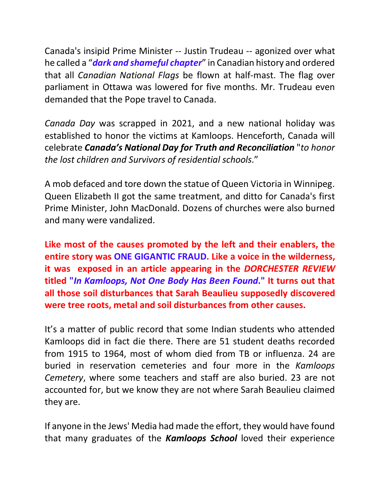Canada's insipid Prime Minister -- Justin Trudeau -- agonized over what he called a "*dark and shameful chapter*" in Canadian history and ordered that all *Canadian National Flags* be flown at half-mast. The flag over parliament in Ottawa was lowered for five months. Mr. Trudeau even demanded that the Pope travel to Canada.

*Canada Day* was scrapped in 2021, and a new national holiday was established to honor the victims at Kamloops. Henceforth, Canada will celebrate *Canada's National Day for Truth and Reconciliation* "*to honor the lost children and Survivors of residential schools*."

A mob defaced and tore down the statue of Queen Victoria in Winnipeg. Queen Elizabeth II got the same treatment, and ditto for Canada's first Prime Minister, John MacDonald. Dozens of churches were also burned and many were vandalized.

**Like most of the causes promoted by the left and their enablers, the entire story was ONE GIGANTIC FRAUD. Like a voice in the wilderness, it was exposed in an article appearing in the** *DORCHESTER REVIEW* **titled "***In Kamloops, Not One Body Has Been Found***." It turns out that all those soil disturbances that Sarah Beaulieu supposedly discovered were tree roots, metal and soil disturbances from other causes.**

It's a matter of public record that some Indian students who attended Kamloops did in fact die there. There are 51 student deaths recorded from 1915 to 1964, most of whom died from TB or influenza. 24 are buried in reservation cemeteries and four more in the *Kamloops Cemetery*, where some teachers and staff are also buried. 23 are not accounted for, but we know they are not where Sarah Beaulieu claimed they are.

If anyone in the Jews' Media had made the effort, they would have found that many graduates of the *Kamloops School* loved their experience